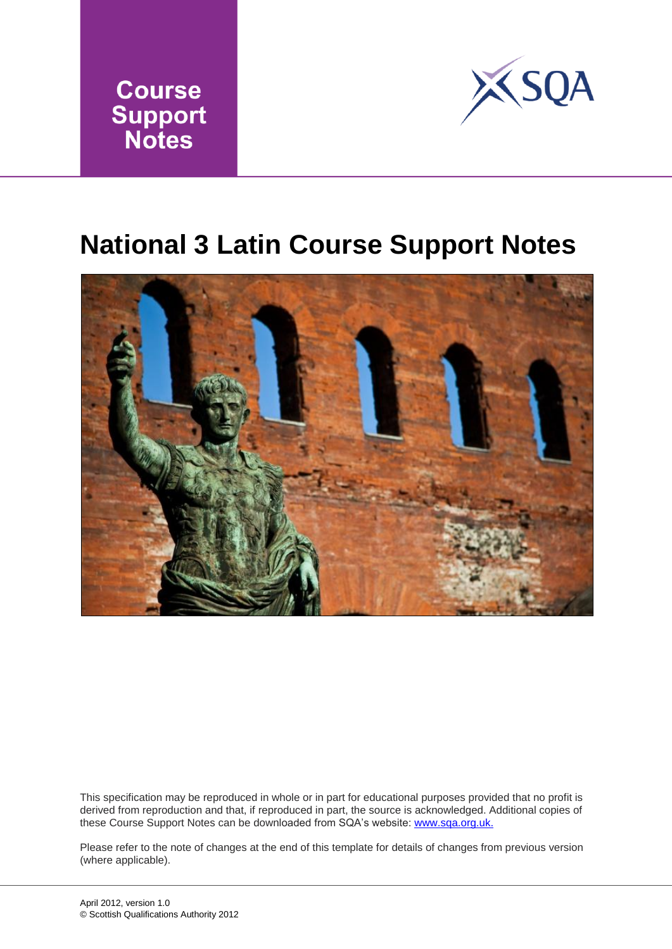



## **National 3 Latin Course Support Notes**



This specification may be reproduced in whole or in part for educational purposes provided that no profit is derived from reproduction and that, if reproduced in part, the source is acknowledged. Additional copies of these Course Support Notes can be downloaded from SQA's website: www.sqa.org.uk.

Please refer to the note of changes at the end of this template for details of changes from previous version (where applicable).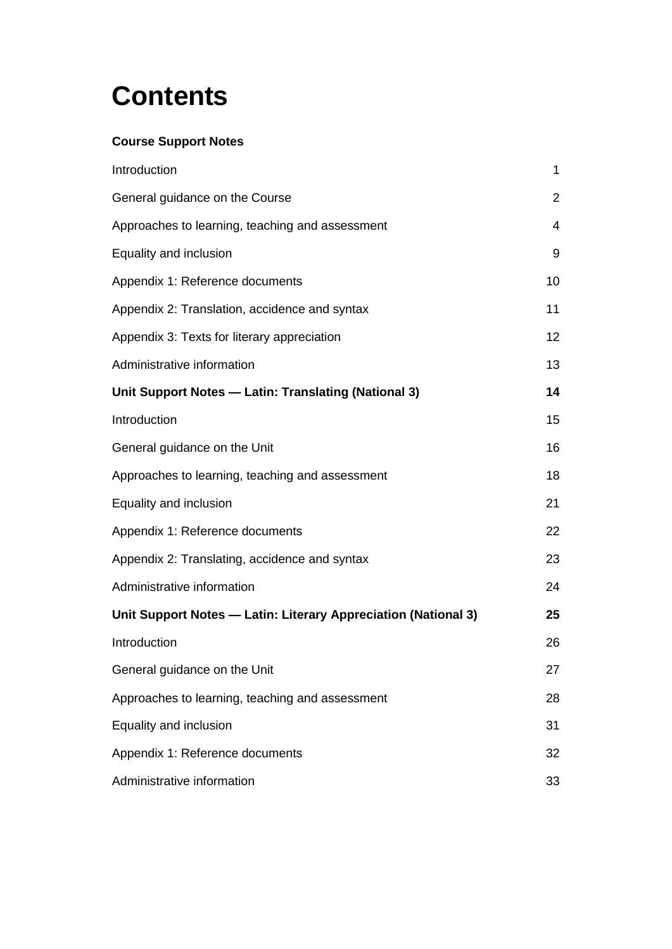## **Contents**

#### **Course Support Notes**

| Introduction                                                   | 1              |
|----------------------------------------------------------------|----------------|
| General guidance on the Course                                 | $\overline{2}$ |
| Approaches to learning, teaching and assessment                | $\overline{4}$ |
| Equality and inclusion                                         | 9              |
| Appendix 1: Reference documents                                | 10             |
| Appendix 2: Translation, accidence and syntax                  | 11             |
| Appendix 3: Texts for literary appreciation                    | 12             |
| Administrative information                                     | 13             |
| Unit Support Notes - Latin: Translating (National 3)           | 14             |
| Introduction                                                   | 15             |
| General guidance on the Unit                                   | 16             |
| Approaches to learning, teaching and assessment                | 18             |
| Equality and inclusion                                         | 21             |
| Appendix 1: Reference documents                                | 22             |
| Appendix 2: Translating, accidence and syntax                  | 23             |
| Administrative information                                     | 24             |
| Unit Support Notes - Latin: Literary Appreciation (National 3) | 25             |
| Introduction                                                   | 26             |
| General guidance on the Unit                                   | 27             |
| Approaches to learning, teaching and assessment                | 28             |
| Equality and inclusion                                         | 31             |
| Appendix 1: Reference documents                                | 32             |
| Administrative information                                     | 33             |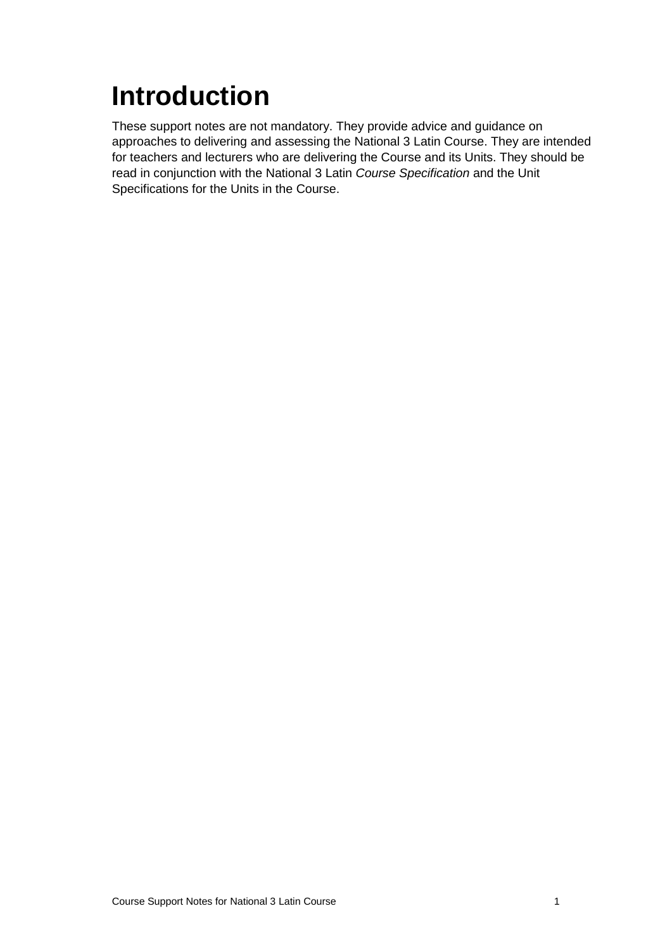# <span id="page-2-0"></span>**Introduction**

These support notes are not mandatory. They provide advice and guidance on approaches to delivering and assessing the National 3 Latin Course. They are intended for teachers and lecturers who are delivering the Course and its Units. They should be read in conjunction with the National 3 Latin *Course Specification* and the Unit Specifications for the Units in the Course.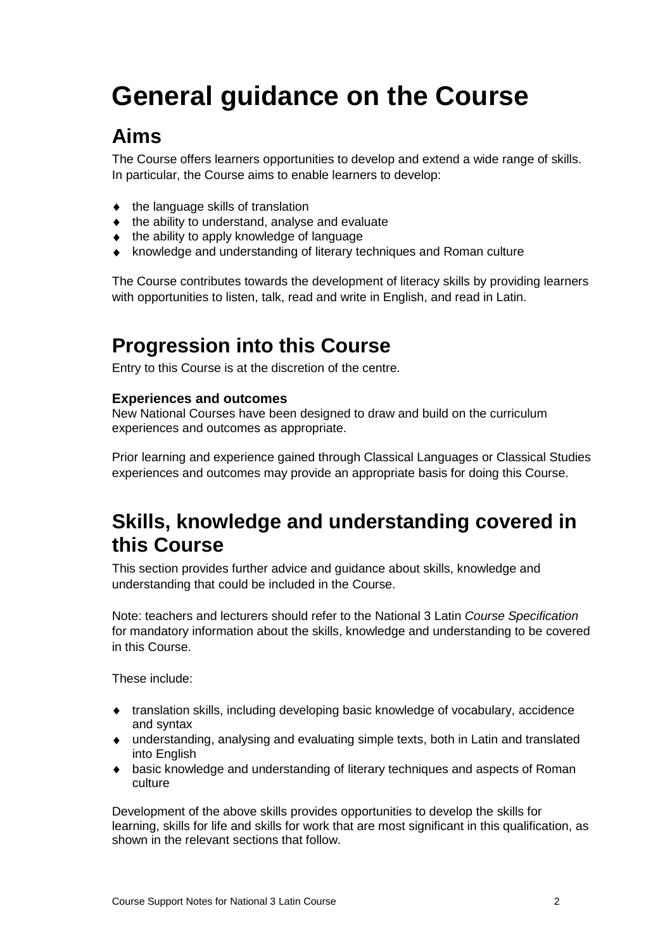# <span id="page-3-0"></span>**General guidance on the Course**

## **Aims**

The Course offers learners opportunities to develop and extend a wide range of skills. In particular, the Course aims to enable learners to develop:

- $\bullet$  the language skills of translation
- $\bullet$  the ability to understand, analyse and evaluate
- $\bullet$  the ability to apply knowledge of language
- knowledge and understanding of literary techniques and Roman culture

The Course contributes towards the development of literacy skills by providing learners with opportunities to listen, talk, read and write in English, and read in Latin.

### **Progression into this Course**

Entry to this Course is at the discretion of the centre.

#### **Experiences and outcomes**

New National Courses have been designed to draw and build on the curriculum experiences and outcomes as appropriate.

Prior learning and experience gained through Classical Languages or Classical Studies experiences and outcomes may provide an appropriate basis for doing this Course.

### **Skills, knowledge and understanding covered in this Course**

This section provides further advice and guidance about skills, knowledge and understanding that could be included in the Course.

Note: teachers and lecturers should refer to the National 3 Latin *Course Specification* for mandatory information about the skills, knowledge and understanding to be covered in this Course.

These include:

- translation skills, including developing basic knowledge of vocabulary, accidence and syntax
- understanding, analysing and evaluating simple texts, both in Latin and translated into English
- basic knowledge and understanding of literary techniques and aspects of Roman culture

Development of the above skills provides opportunities to develop the skills for learning, skills for life and skills for work that are most significant in this qualification, as shown in the relevant sections that follow.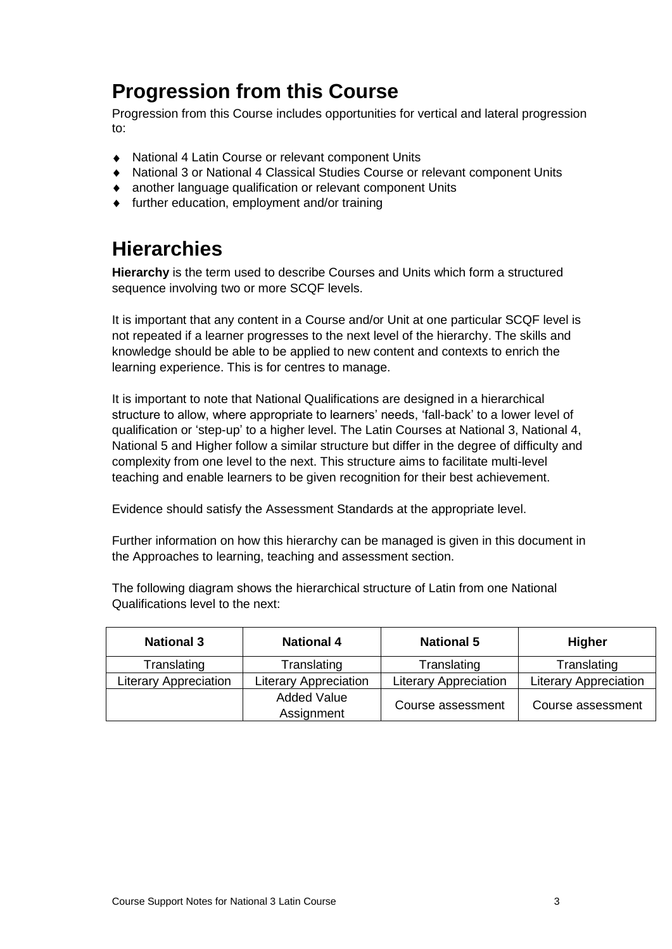### **Progression from this Course**

Progression from this Course includes opportunities for vertical and lateral progression to:

- National 4 Latin Course or relevant component Units
- National 3 or National 4 Classical Studies Course or relevant component Units
- another language qualification or relevant component Units
- further education, employment and/or training

### **Hierarchies**

**Hierarchy** is the term used to describe Courses and Units which form a structured sequence involving two or more SCQF levels.

It is important that any content in a Course and/or Unit at one particular SCQF level is not repeated if a learner progresses to the next level of the hierarchy. The skills and knowledge should be able to be applied to new content and contexts to enrich the learning experience. This is for centres to manage.

It is important to note that National Qualifications are designed in a hierarchical structure to allow, where appropriate to learners' needs, 'fall-back' to a lower level of qualification or 'step-up' to a higher level. The Latin Courses at National 3, National 4, National 5 and Higher follow a similar structure but differ in the degree of difficulty and complexity from one level to the next. This structure aims to facilitate multi-level teaching and enable learners to be given recognition for their best achievement.

Evidence should satisfy the Assessment Standards at the appropriate level.

Further information on how this hierarchy can be managed is given in this document in the Approaches to learning, teaching and assessment section.

The following diagram shows the hierarchical structure of Latin from one National Qualifications level to the next:

| <b>National 3</b>            | <b>National 4</b>                | <b>National 5</b>            | <b>Higher</b>                |
|------------------------------|----------------------------------|------------------------------|------------------------------|
| Translating                  | Translating                      | Translating                  | Translating                  |
| <b>Literary Appreciation</b> | <b>Literary Appreciation</b>     | <b>Literary Appreciation</b> | <b>Literary Appreciation</b> |
|                              | <b>Added Value</b><br>Assignment | Course assessment            | Course assessment            |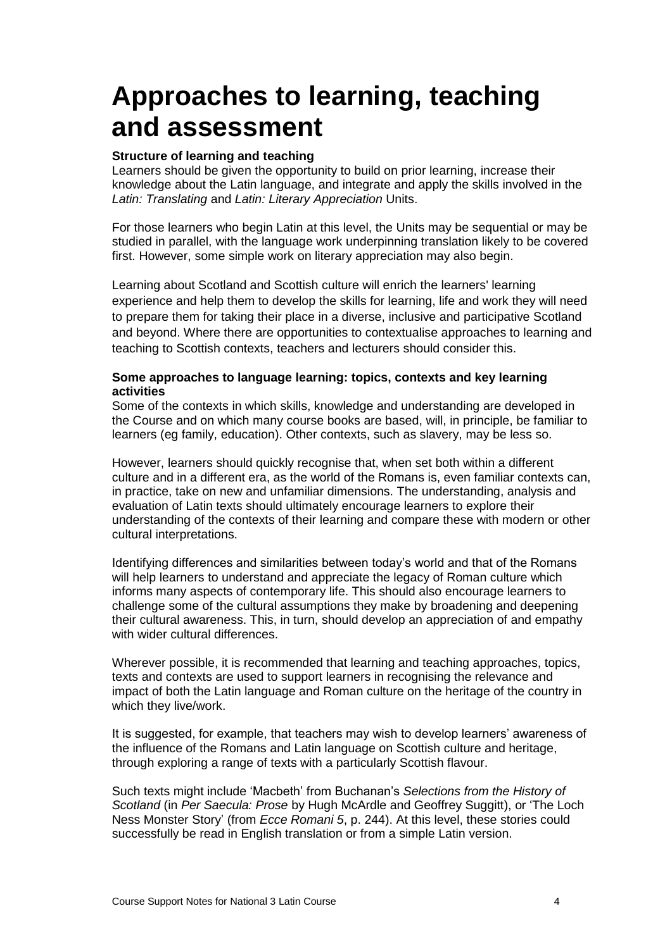## <span id="page-5-0"></span>**Approaches to learning, teaching and assessment**

#### **Structure of learning and teaching**

Learners should be given the opportunity to build on prior learning, increase their knowledge about the Latin language, and integrate and apply the skills involved in the *Latin: Translating* and *Latin: Literary Appreciation* Units.

For those learners who begin Latin at this level, the Units may be sequential or may be studied in parallel, with the language work underpinning translation likely to be covered first. However, some simple work on literary appreciation may also begin.

Learning about Scotland and Scottish culture will enrich the learners' learning experience and help them to develop the skills for learning, life and work they will need to prepare them for taking their place in a diverse, inclusive and participative Scotland and beyond. Where there are opportunities to contextualise approaches to learning and teaching to Scottish contexts, teachers and lecturers should consider this.

#### **Some approaches to language learning: topics, contexts and key learning activities**

Some of the contexts in which skills, knowledge and understanding are developed in the Course and on which many course books are based, will, in principle, be familiar to learners (eg family, education). Other contexts, such as slavery, may be less so.

However, learners should quickly recognise that, when set both within a different culture and in a different era, as the world of the Romans is, even familiar contexts can, in practice, take on new and unfamiliar dimensions. The understanding, analysis and evaluation of Latin texts should ultimately encourage learners to explore their understanding of the contexts of their learning and compare these with modern or other cultural interpretations.

Identifying differences and similarities between today's world and that of the Romans will help learners to understand and appreciate the legacy of Roman culture which informs many aspects of contemporary life. This should also encourage learners to challenge some of the cultural assumptions they make by broadening and deepening their cultural awareness. This, in turn, should develop an appreciation of and empathy with wider cultural differences.

Wherever possible, it is recommended that learning and teaching approaches, topics, texts and contexts are used to support learners in recognising the relevance and impact of both the Latin language and Roman culture on the heritage of the country in which they live/work.

It is suggested, for example, that teachers may wish to develop learners' awareness of the influence of the Romans and Latin language on Scottish culture and heritage, through exploring a range of texts with a particularly Scottish flavour.

Such texts might include 'Macbeth' from Buchanan's *Selections from the History of Scotland* (in *Per Saecula: Prose* by Hugh McArdle and Geoffrey Suggitt), or 'The Loch Ness Monster Story' (from *Ecce Romani 5*, p. 244). At this level, these stories could successfully be read in English translation or from a simple Latin version.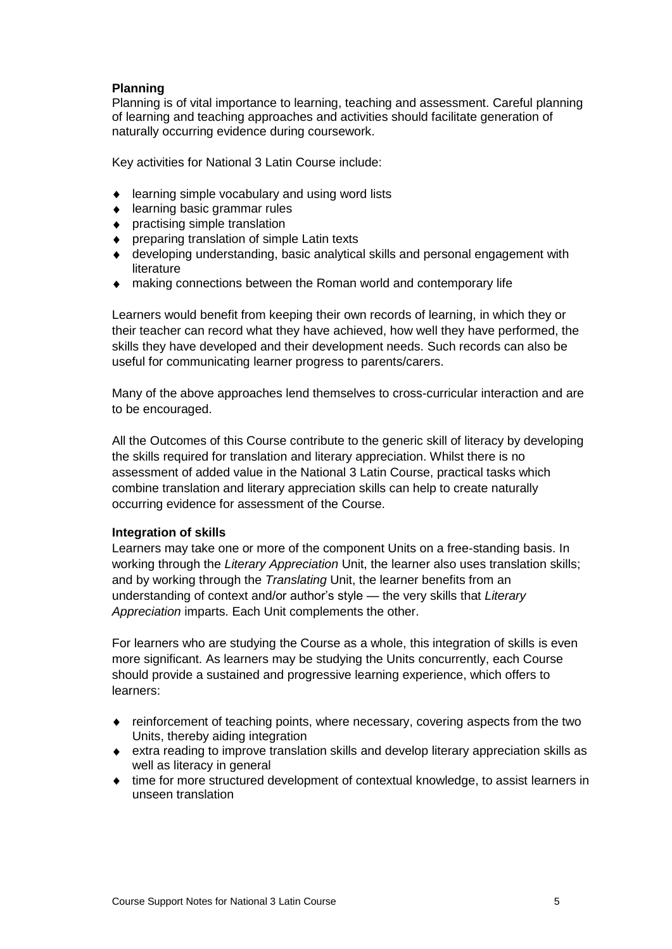#### **Planning**

Planning is of vital importance to learning, teaching and assessment. Careful planning of learning and teaching approaches and activities should facilitate generation of naturally occurring evidence during coursework.

Key activities for National 3 Latin Course include:

- ♦ learning simple vocabulary and using word lists
- ◆ learning basic grammar rules
- ◆ practising simple translation
- ◆ preparing translation of simple Latin texts
- developing understanding, basic analytical skills and personal engagement with literature
- making connections between the Roman world and contemporary life

Learners would benefit from keeping their own records of learning, in which they or their teacher can record what they have achieved, how well they have performed, the skills they have developed and their development needs. Such records can also be useful for communicating learner progress to parents/carers.

Many of the above approaches lend themselves to cross-curricular interaction and are to be encouraged.

All the Outcomes of this Course contribute to the generic skill of literacy by developing the skills required for translation and literary appreciation. Whilst there is no assessment of added value in the National 3 Latin Course, practical tasks which combine translation and literary appreciation skills can help to create naturally occurring evidence for assessment of the Course.

#### **Integration of skills**

Learners may take one or more of the component Units on a free-standing basis. In working through the *Literary Appreciation* Unit, the learner also uses translation skills; and by working through the *Translating* Unit, the learner benefits from an understanding of context and/or author's style — the very skills that *Literary Appreciation* imparts. Each Unit complements the other.

For learners who are studying the Course as a whole, this integration of skills is even more significant. As learners may be studying the Units concurrently, each Course should provide a sustained and progressive learning experience, which offers to learners:

- reinforcement of teaching points, where necessary, covering aspects from the two Units, thereby aiding integration
- extra reading to improve translation skills and develop literary appreciation skills as well as literacy in general
- time for more structured development of contextual knowledge, to assist learners in unseen translation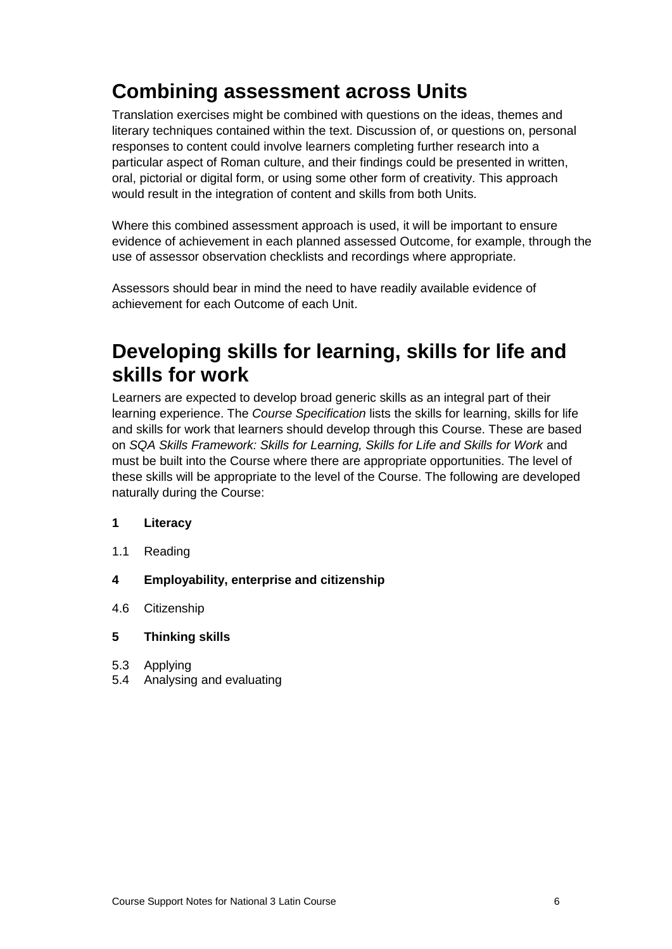## **Combining assessment across Units**

Translation exercises might be combined with questions on the ideas, themes and literary techniques contained within the text. Discussion of, or questions on, personal responses to content could involve learners completing further research into a particular aspect of Roman culture, and their findings could be presented in written, oral, pictorial or digital form, or using some other form of creativity. This approach would result in the integration of content and skills from both Units.

Where this combined assessment approach is used, it will be important to ensure evidence of achievement in each planned assessed Outcome, for example, through the use of assessor observation checklists and recordings where appropriate.

Assessors should bear in mind the need to have readily available evidence of achievement for each Outcome of each Unit.

### **Developing skills for learning, skills for life and skills for work**

Learners are expected to develop broad generic skills as an integral part of their learning experience. The *Course Specification* lists the skills for learning, skills for life and skills for work that learners should develop through this Course. These are based on *SQA Skills Framework: Skills for Learning, Skills for Life and Skills for Work* and must be built into the Course where there are appropriate opportunities. The level of these skills will be appropriate to the level of the Course. The following are developed naturally during the Course:

#### **1 Literacy**

- 1.1 Reading
- **4 Employability, enterprise and citizenship**
- 4.6 Citizenship

#### **5 Thinking skills**

- 5.3 Applying
- 5.4 Analysing and evaluating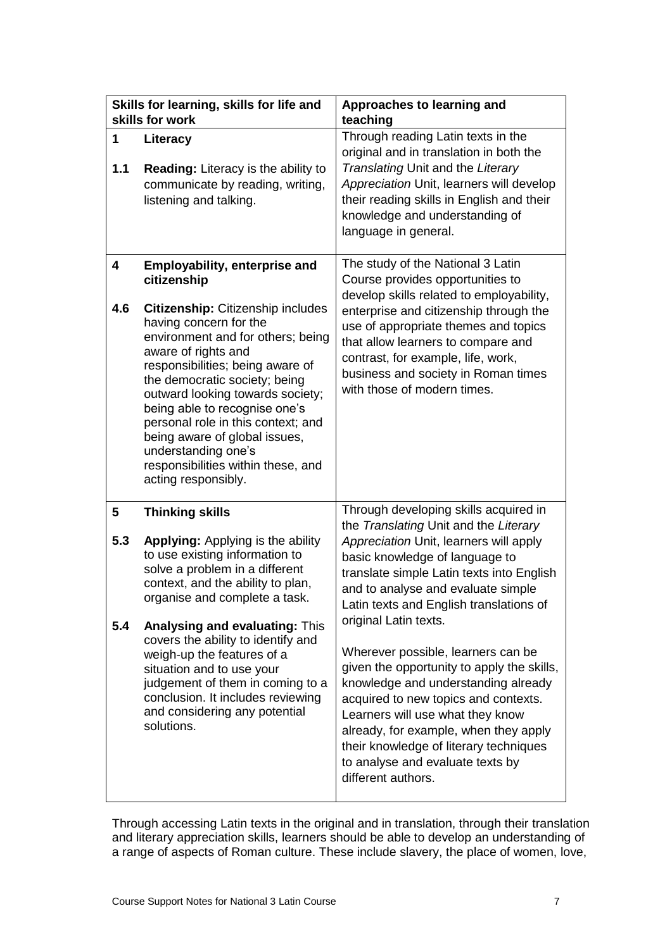|                                       | Skills for learning, skills for life and<br>skills for work                                                                                                                                                                                                                                                                                                                                                                                                                         | Approaches to learning and<br>teaching                                                                                                                                                                                                                                                                                                                                                                                                                                                                                                                                                                                                                                |
|---------------------------------------|-------------------------------------------------------------------------------------------------------------------------------------------------------------------------------------------------------------------------------------------------------------------------------------------------------------------------------------------------------------------------------------------------------------------------------------------------------------------------------------|-----------------------------------------------------------------------------------------------------------------------------------------------------------------------------------------------------------------------------------------------------------------------------------------------------------------------------------------------------------------------------------------------------------------------------------------------------------------------------------------------------------------------------------------------------------------------------------------------------------------------------------------------------------------------|
| 1<br>1.1                              | Literacy<br><b>Reading:</b> Literacy is the ability to<br>communicate by reading, writing,<br>listening and talking.                                                                                                                                                                                                                                                                                                                                                                | Through reading Latin texts in the<br>original and in translation in both the<br>Translating Unit and the Literary<br>Appreciation Unit, learners will develop<br>their reading skills in English and their<br>knowledge and understanding of<br>language in general.                                                                                                                                                                                                                                                                                                                                                                                                 |
| 4<br>4.6                              | <b>Employability, enterprise and</b><br>citizenship<br>Citizenship: Citizenship includes<br>having concern for the<br>environment and for others; being<br>aware of rights and<br>responsibilities; being aware of<br>the democratic society; being<br>outward looking towards society;<br>being able to recognise one's<br>personal role in this context; and<br>being aware of global issues,<br>understanding one's<br>responsibilities within these, and<br>acting responsibly. | The study of the National 3 Latin<br>Course provides opportunities to<br>develop skills related to employability,<br>enterprise and citizenship through the<br>use of appropriate themes and topics<br>that allow learners to compare and<br>contrast, for example, life, work,<br>business and society in Roman times<br>with those of modern times.                                                                                                                                                                                                                                                                                                                 |
| $\overline{\mathbf{5}}$<br>5.3<br>5.4 | <b>Thinking skills</b><br><b>Applying:</b> Applying is the ability<br>to use existing information to<br>solve a problem in a different<br>context, and the ability to plan,<br>organise and complete a task.<br><b>Analysing and evaluating: This</b><br>covers the ability to identify and<br>weigh-up the features of a<br>situation and to use your<br>judgement of them in coming to a<br>conclusion. It includes reviewing<br>and considering any potential<br>solutions.      | Through developing skills acquired in<br>the Translating Unit and the Literary<br>Appreciation Unit, learners will apply<br>basic knowledge of language to<br>translate simple Latin texts into English<br>and to analyse and evaluate simple<br>Latin texts and English translations of<br>original Latin texts.<br>Wherever possible, learners can be<br>given the opportunity to apply the skills,<br>knowledge and understanding already<br>acquired to new topics and contexts.<br>Learners will use what they know<br>already, for example, when they apply<br>their knowledge of literary techniques<br>to analyse and evaluate texts by<br>different authors. |

Through accessing Latin texts in the original and in translation, through their translation and literary appreciation skills, learners should be able to develop an understanding of a range of aspects of Roman culture. These include slavery, the place of women, love,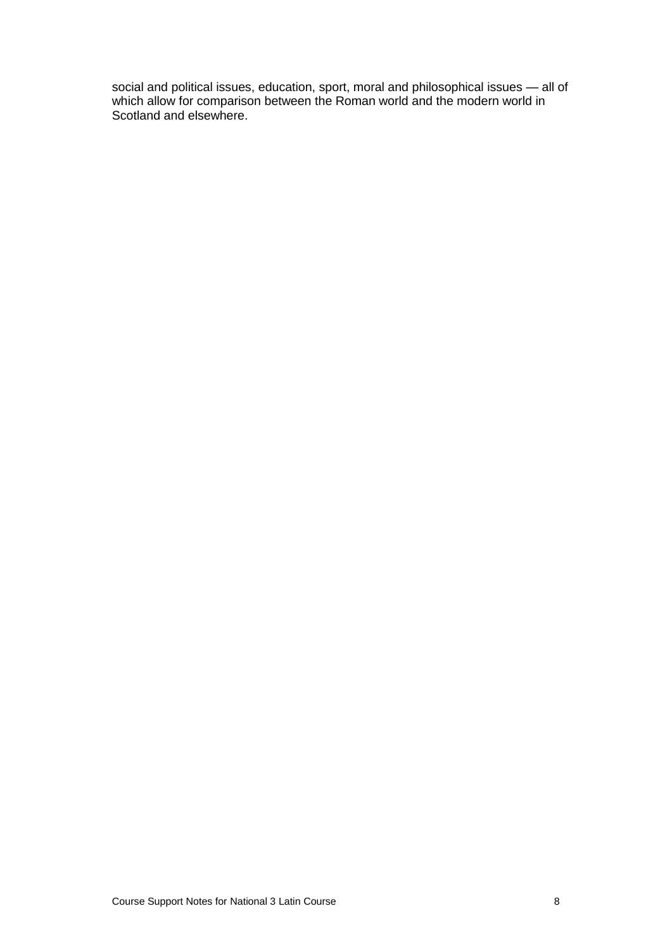social and political issues, education, sport, moral and philosophical issues — all of which allow for comparison between the Roman world and the modern world in Scotland and elsewhere.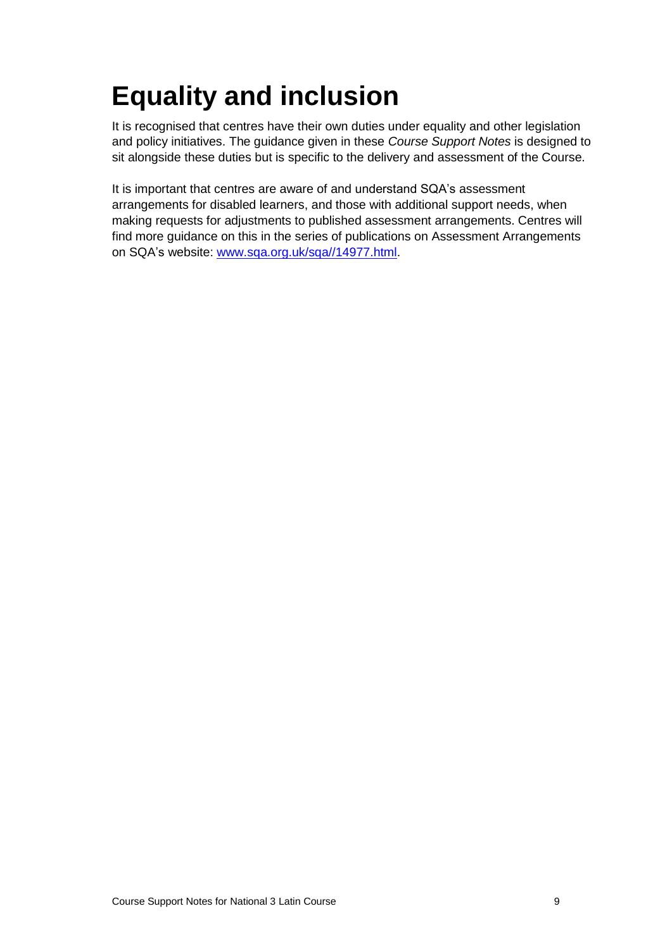# <span id="page-10-0"></span>**Equality and inclusion**

It is recognised that centres have their own duties under equality and other legislation and policy initiatives. The guidance given in these *Course Support Notes* is designed to sit alongside these duties but is specific to the delivery and assessment of the Course.

It is important that centres are aware of and understand SQA's assessment arrangements for disabled learners, and those with additional support needs, when making requests for adjustments to published assessment arrangements. Centres will find more guidance on this in the series of publications on Assessment Arrangements on SQA's website: [www.sqa.org.uk/sqa//14977.html.](http://www.sqa.org.uk/sqa/14977.html)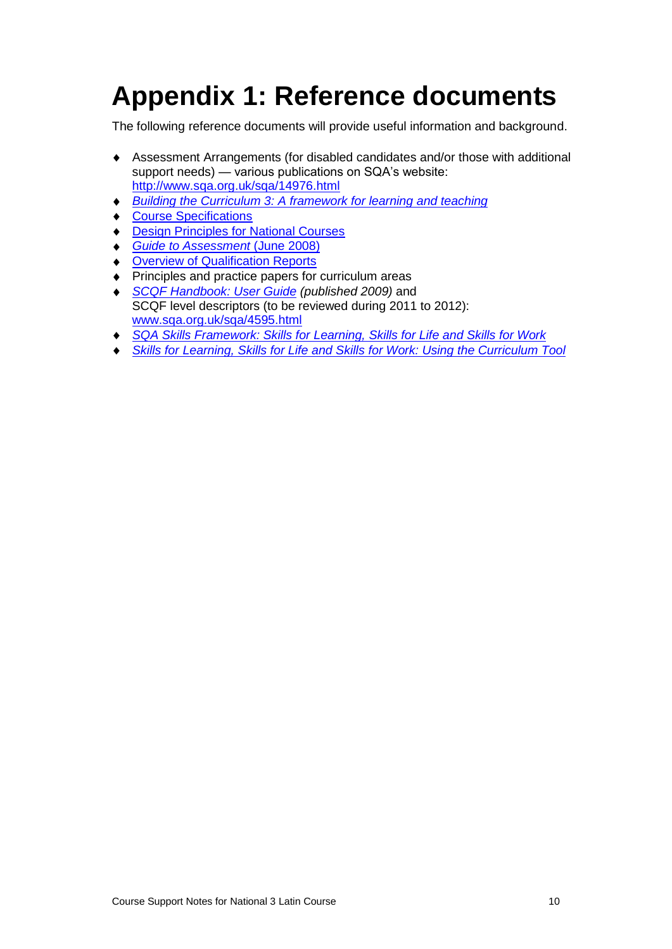## <span id="page-11-0"></span>**Appendix 1: Reference documents**

The following reference documents will provide useful information and background.

- Assessment Arrangements (for disabled candidates and/or those with additional support needs) — various publications on SQA's website: <http://www.sqa.org.uk/sqa/14976.html>
- *[Building the Curriculum 3: A framework for learning and teaching](http://www.ltscotland.org.uk/buildingyourcurriculum/policycontext/btc/btc5.asp)*  $\bullet$
- ◆ [Course Specifications](http://www.sqa.org.uk/sqa/46327.2947.html)
- ◆ **[Design Principles for National Courses](http://www.sqa.org.uk/sqa/42135.2629.html)**
- *[Guide to Assessment](http://www.sqa.org.uk/files_ccc/GuideToAssessment.pdf)* (June 2008)
- **[Overview of Qualification Reports](http://www.sqa.org.uk/sqa/42467.2792.html)**
- ◆ Principles and practice papers for curriculum areas
- *[SCQF Handbook: User Guide](http://www.scqf.org.uk/Resources) (published 2009)* and SCQF level descriptors (to be reviewed during 2011 to 2012): [www.sqa.org.uk/sqa/4595.html](http://www.sqa.org.uk/sqa/4595.html)
- *[SQA Skills Framework: Skills for Learning, Skills for Life and Skills for Work](http://www.sqa.org.uk/sqa/45395.html)*
- *[Skills for Learning, Skills for Life and Skills for Work: Using the Curriculum Tool](http://www.sqa.org.uk/sqa/45395.html)*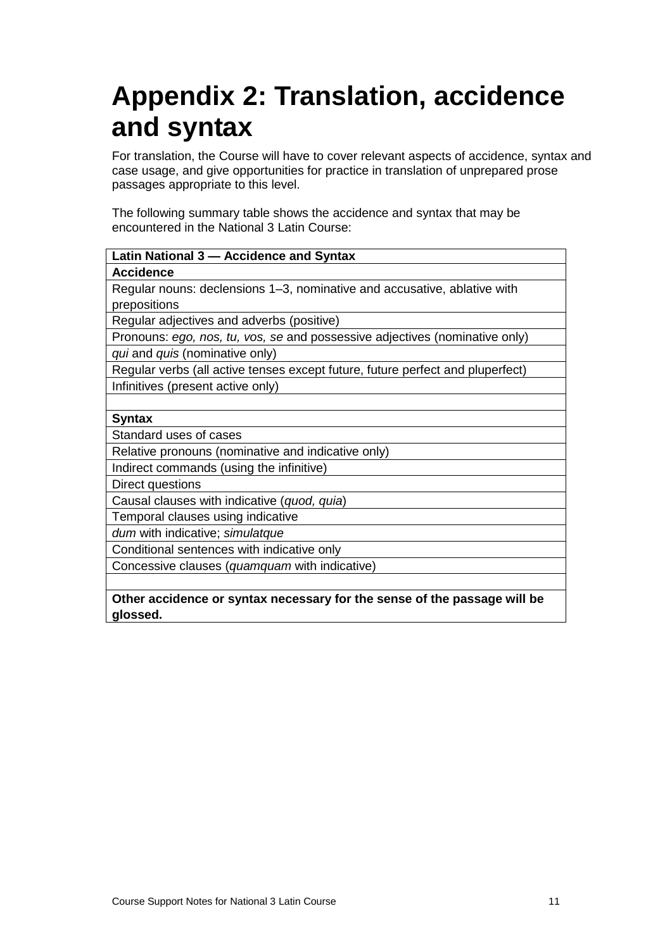## <span id="page-12-0"></span>**Appendix 2: Translation, accidence and syntax**

For translation, the Course will have to cover relevant aspects of accidence, syntax and case usage, and give opportunities for practice in translation of unprepared prose passages appropriate to this level.

The following summary table shows the accidence and syntax that may be encountered in the National 3 Latin Course:

| Latin National 3 - Accidence and Syntax                                        |  |  |  |
|--------------------------------------------------------------------------------|--|--|--|
| <b>Accidence</b>                                                               |  |  |  |
| Regular nouns: declensions 1–3, nominative and accusative, ablative with       |  |  |  |
| prepositions                                                                   |  |  |  |
| Regular adjectives and adverbs (positive)                                      |  |  |  |
| Pronouns: ego, nos, tu, vos, se and possessive adjectives (nominative only)    |  |  |  |
| qui and quis (nominative only)                                                 |  |  |  |
| Regular verbs (all active tenses except future, future perfect and pluperfect) |  |  |  |
| Infinitives (present active only)                                              |  |  |  |
|                                                                                |  |  |  |
| <b>Syntax</b>                                                                  |  |  |  |
| Standard uses of cases                                                         |  |  |  |
| Relative pronouns (nominative and indicative only)                             |  |  |  |
| Indirect commands (using the infinitive)                                       |  |  |  |
| Direct questions                                                               |  |  |  |
| Causal clauses with indicative (quod, quia)                                    |  |  |  |
| Temporal clauses using indicative                                              |  |  |  |
| dum with indicative; simulatque                                                |  |  |  |
| Conditional sentences with indicative only                                     |  |  |  |
| Concessive clauses (quamquam with indicative)                                  |  |  |  |
|                                                                                |  |  |  |
| Other accidence or syntax necessary for the sense of the passage will be       |  |  |  |

**glossed.**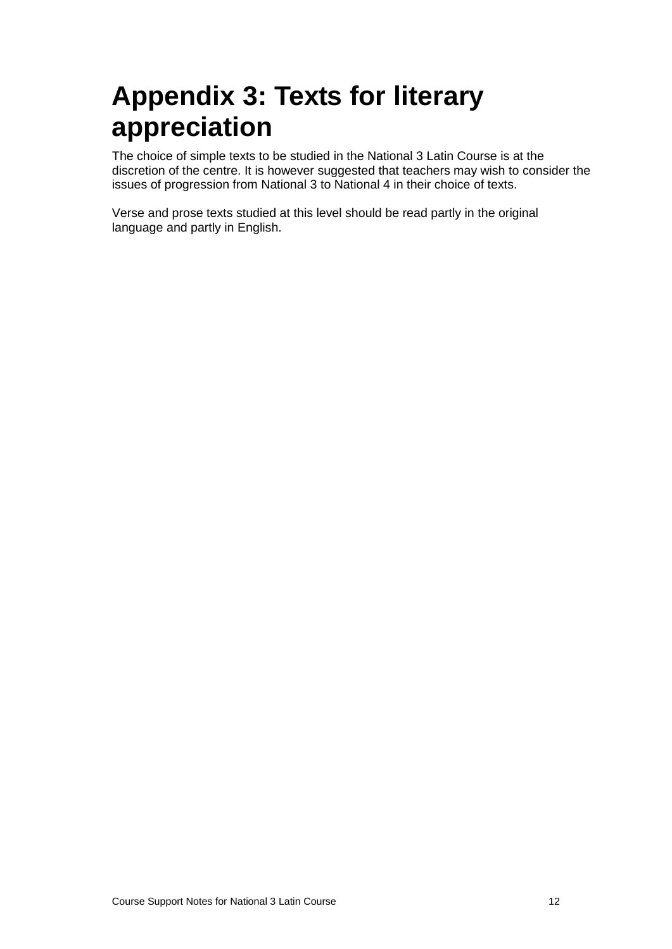## <span id="page-13-0"></span>**Appendix 3: Texts for literary appreciation**

The choice of simple texts to be studied in the National 3 Latin Course is at the discretion of the centre. It is however suggested that teachers may wish to consider the issues of progression from National 3 to National 4 in their choice of texts.

Verse and prose texts studied at this level should be read partly in the original language and partly in English.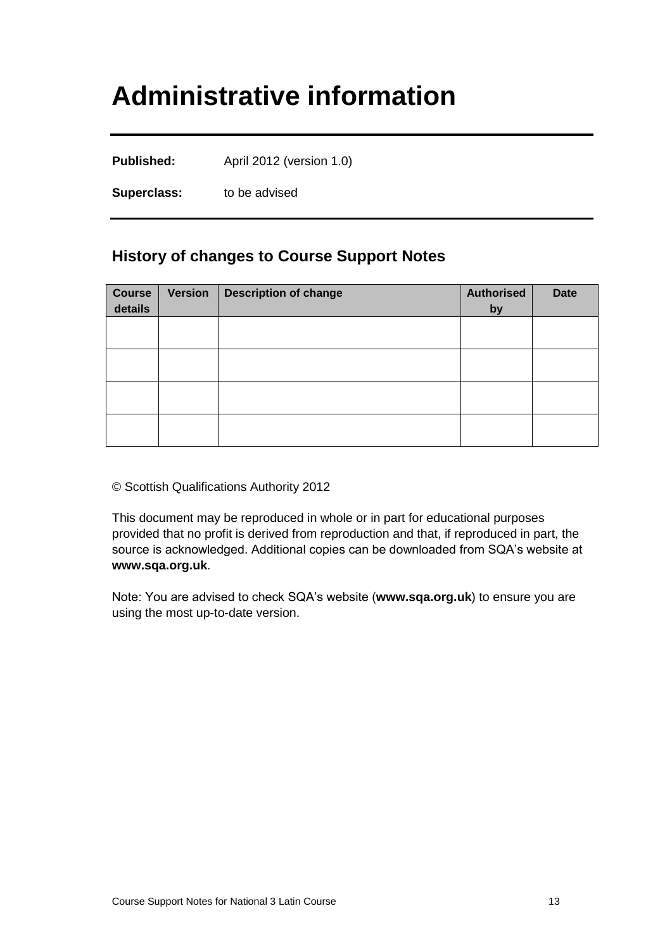## <span id="page-14-0"></span>**Administrative information**

**Published:** April 2012 (version 1.0)

**Superclass:** to be advised

#### **History of changes to Course Support Notes**

| <b>Course</b><br>details | <b>Version</b> | <b>Description of change</b> | <b>Authorised</b><br>by | <b>Date</b> |
|--------------------------|----------------|------------------------------|-------------------------|-------------|
|                          |                |                              |                         |             |
|                          |                |                              |                         |             |
|                          |                |                              |                         |             |
|                          |                |                              |                         |             |

© Scottish Qualifications Authority 2012

This document may be reproduced in whole or in part for educational purposes provided that no profit is derived from reproduction and that, if reproduced in part, the source is acknowledged. Additional copies can be downloaded from SQA's website at **[www.sqa.org.uk](http://www.sqa.org.uk/)**.

Note: You are advised to check SQA's website (**[www.sqa.org.uk](http://www.sqa.org.uk/)**) to ensure you are using the most up-to-date version.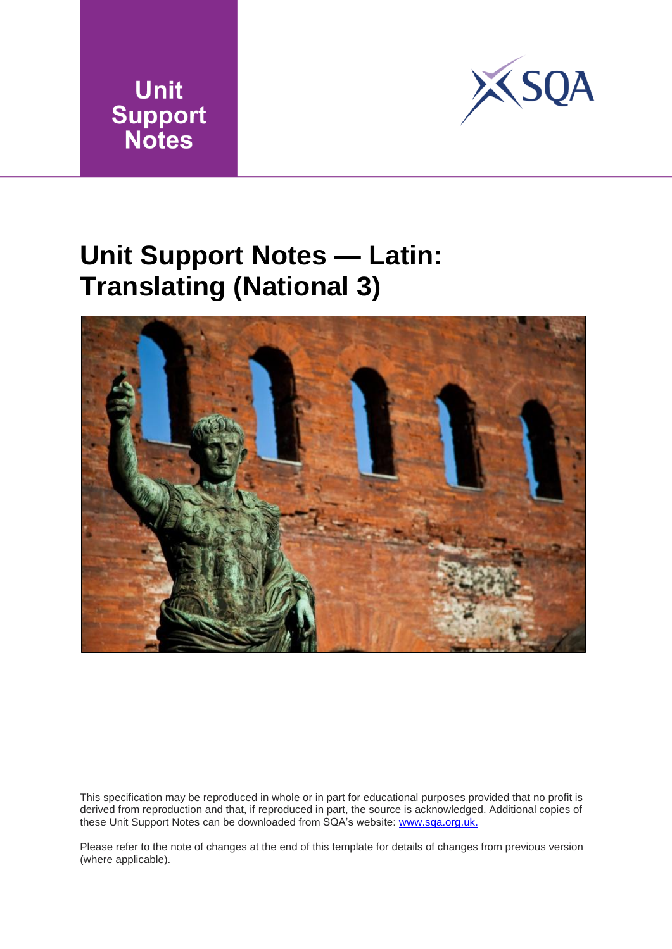



## <span id="page-15-0"></span>**Unit Support Notes — Latin: Translating (National 3)**



This specification may be reproduced in whole or in part for educational purposes provided that no profit is derived from reproduction and that, if reproduced in part, the source is acknowledged. Additional copies of these Unit Support Notes can be downloaded from SQA's website: www.sqa.org.uk.

Please refer to the note of changes at the end of this template for details of changes from previous version (where applicable).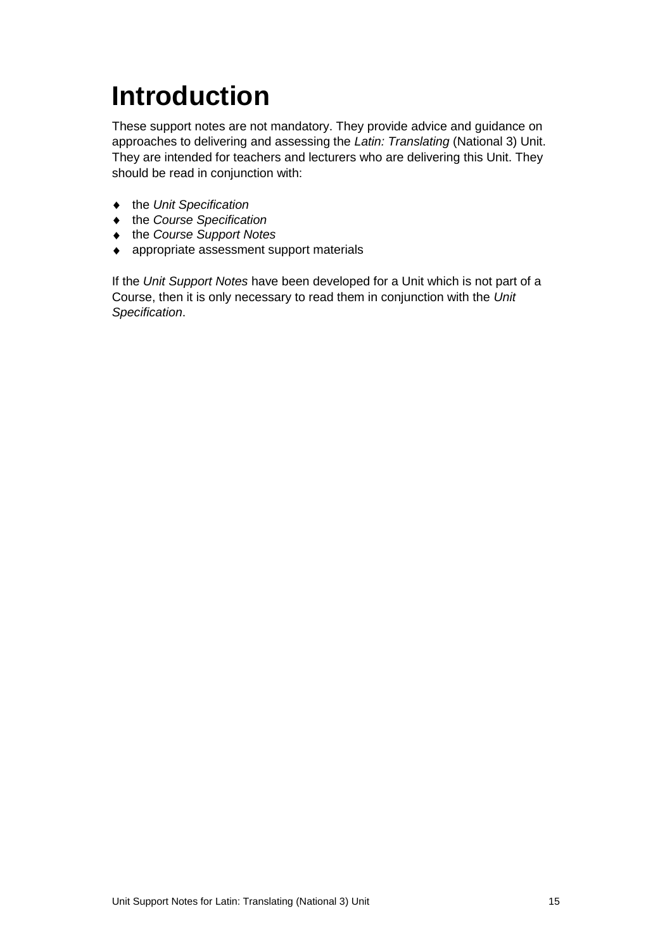# <span id="page-16-0"></span>**Introduction**

These support notes are not mandatory. They provide advice and guidance on approaches to delivering and assessing the *Latin: Translating* (National 3) Unit. They are intended for teachers and lecturers who are delivering this Unit. They should be read in conjunction with:

- the *Unit Specification*
- the *Course Specification*
- ◆ the *Course Support Notes*
- appropriate assessment support materials

If the *Unit Support Notes* have been developed for a Unit which is not part of a Course, then it is only necessary to read them in conjunction with the *Unit Specification*.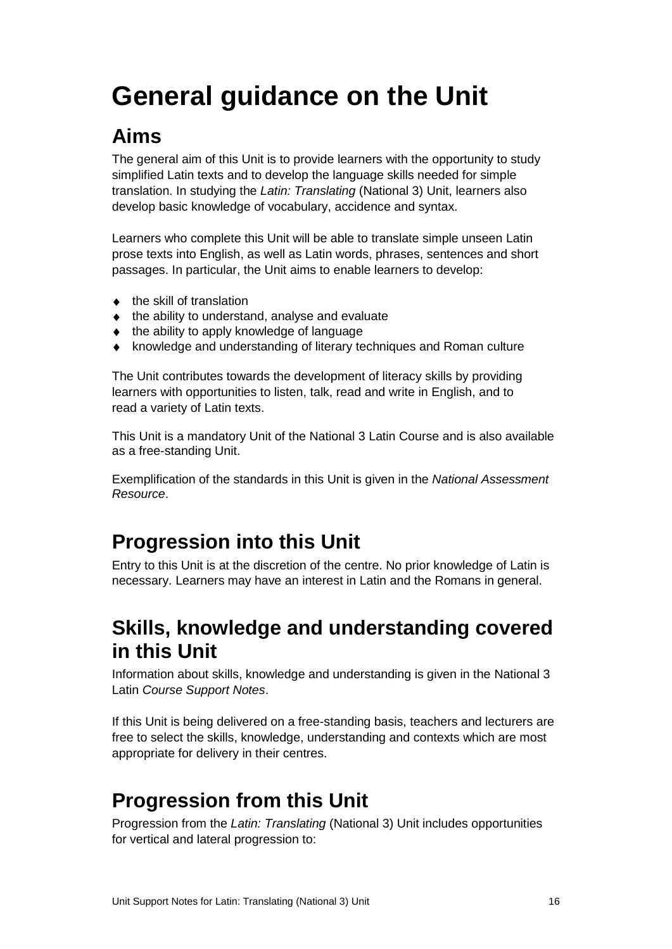# <span id="page-17-0"></span>**General guidance on the Unit**

## **Aims**

The general aim of this Unit is to provide learners with the opportunity to study simplified Latin texts and to develop the language skills needed for simple translation. In studying the *Latin: Translating* (National 3) Unit, learners also develop basic knowledge of vocabulary, accidence and syntax.

Learners who complete this Unit will be able to translate simple unseen Latin prose texts into English, as well as Latin words, phrases, sentences and short passages. In particular, the Unit aims to enable learners to develop:

- $\bullet$  the skill of translation
- $\bullet$  the ability to understand, analyse and evaluate
- $\bullet$  the ability to apply knowledge of language
- knowledge and understanding of literary techniques and Roman culture

The Unit contributes towards the development of literacy skills by providing learners with opportunities to listen, talk, read and write in English, and to read a variety of Latin texts.

This Unit is a mandatory Unit of the National 3 Latin Course and is also available as a free-standing Unit.

Exemplification of the standards in this Unit is given in the *National Assessment Resource*.

## **Progression into this Unit**

Entry to this Unit is at the discretion of the centre. No prior knowledge of Latin is necessary. Learners may have an interest in Latin and the Romans in general.

### **Skills, knowledge and understanding covered in this Unit**

Information about skills, knowledge and understanding is given in the National 3 Latin *Course Support Notes*.

If this Unit is being delivered on a free-standing basis, teachers and lecturers are free to select the skills, knowledge, understanding and contexts which are most appropriate for delivery in their centres.

### **Progression from this Unit**

Progression from the *Latin: Translating* (National 3) Unit includes opportunities for vertical and lateral progression to: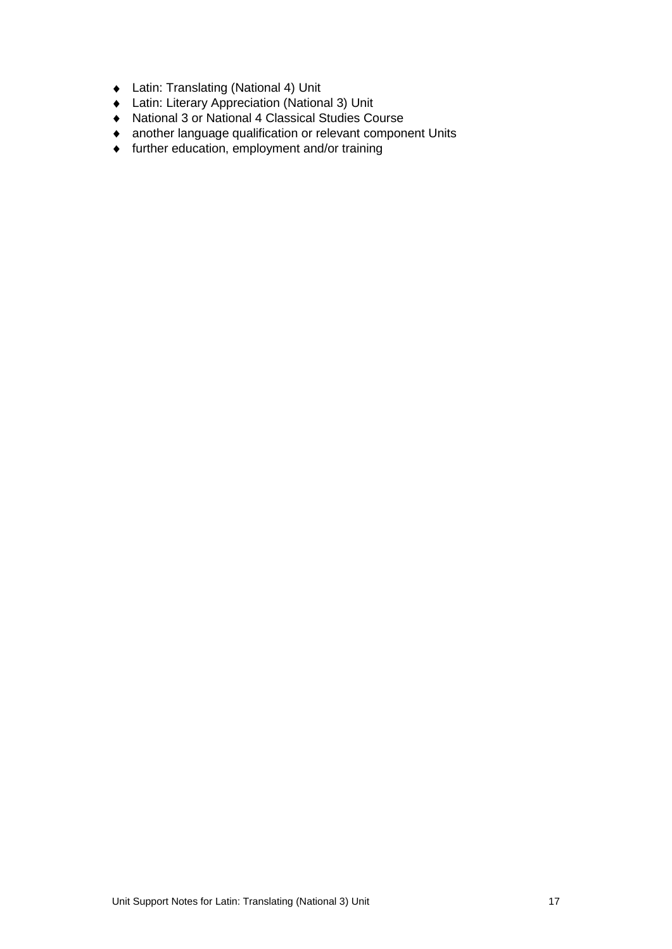- Latin: Translating (National 4) Unit
- Latin: Literary Appreciation (National 3) Unit
- National 3 or National 4 Classical Studies Course
- another language qualification or relevant component Units
- further education, employment and/or training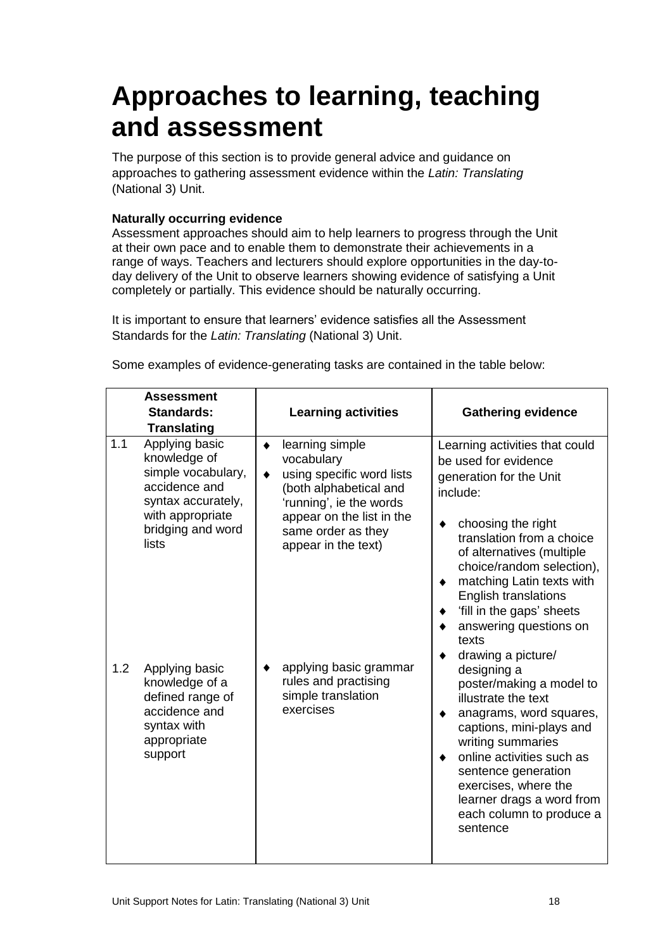## <span id="page-19-0"></span>**Approaches to learning, teaching and assessment**

The purpose of this section is to provide general advice and guidance on approaches to gathering assessment evidence within the *Latin: Translating* (National 3) Unit.

#### **Naturally occurring evidence**

Assessment approaches should aim to help learners to progress through the Unit at their own pace and to enable them to demonstrate their achievements in a range of ways. Teachers and lecturers should explore opportunities in the day-today delivery of the Unit to observe learners showing evidence of satisfying a Unit completely or partially. This evidence should be naturally occurring.

It is important to ensure that learners' evidence satisfies all the Assessment Standards for the *Latin: Translating* (National 3) Unit.

|            | <b>Assessment</b><br><b>Standards:</b><br><b>Translating</b>                                                                                                    | <b>Learning activities</b>                                                                                                                                                                                                            | <b>Gathering evidence</b>                                                                                                                                                                                                                                                                                                                                                      |
|------------|-----------------------------------------------------------------------------------------------------------------------------------------------------------------|---------------------------------------------------------------------------------------------------------------------------------------------------------------------------------------------------------------------------------------|--------------------------------------------------------------------------------------------------------------------------------------------------------------------------------------------------------------------------------------------------------------------------------------------------------------------------------------------------------------------------------|
| 1.1<br>1.2 | Applying basic<br>knowledge of<br>simple vocabulary,<br>accidence and<br>syntax accurately,<br>with appropriate<br>bridging and word<br>lists<br>Applying basic | learning simple<br>٠<br>vocabulary<br>using specific word lists<br>$\bullet$<br>(both alphabetical and<br>'running', ie the words<br>appear on the list in the<br>same order as they<br>appear in the text)<br>applying basic grammar | Learning activities that could<br>be used for evidence<br>generation for the Unit<br>include:<br>choosing the right<br>٠<br>translation from a choice<br>of alternatives (multiple<br>choice/random selection),<br>matching Latin texts with<br>٠<br>English translations<br>'fill in the gaps' sheets<br>answering questions on<br>texts<br>drawing a picture/<br>designing a |
|            | knowledge of a<br>defined range of<br>accidence and<br>syntax with<br>appropriate<br>support                                                                    | rules and practising<br>simple translation<br>exercises                                                                                                                                                                               | poster/making a model to<br>illustrate the text<br>anagrams, word squares,<br>٠<br>captions, mini-plays and<br>writing summaries<br>online activities such as<br>sentence generation<br>exercises, where the<br>learner drags a word from<br>each column to produce a<br>sentence                                                                                              |

Some examples of evidence-generating tasks are contained in the table below: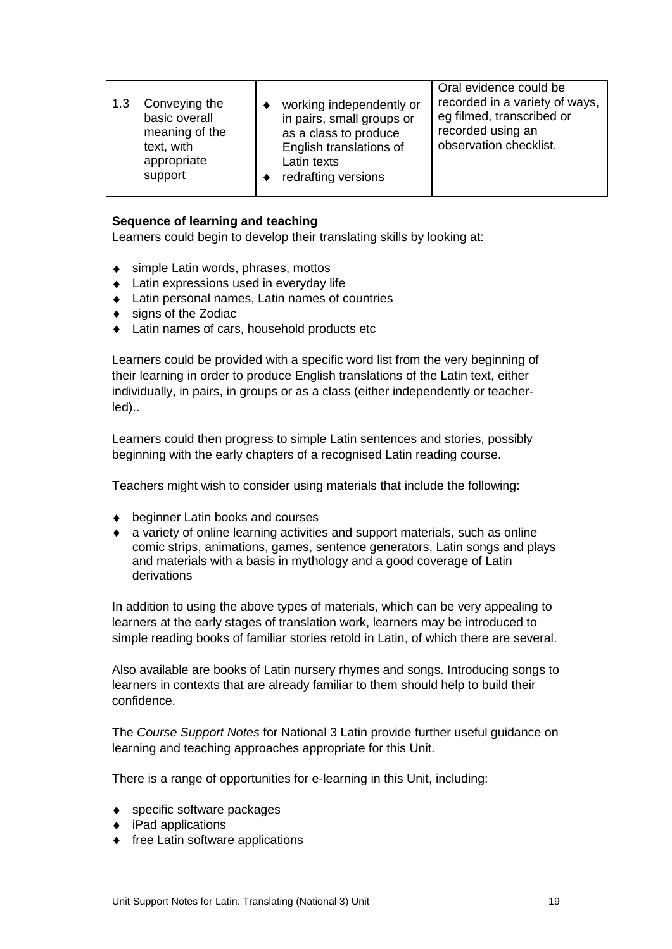| 1.3 | Conveying the<br>basic overall<br>meaning of the<br>text, with<br>appropriate<br>support | working independently or<br>in pairs, small groups or<br>as a class to produce<br>English translations of<br>Latin texts<br>redrafting versions | Oral evidence could be<br>recorded in a variety of ways,<br>eg filmed, transcribed or<br>recorded using an<br>observation checklist. |
|-----|------------------------------------------------------------------------------------------|-------------------------------------------------------------------------------------------------------------------------------------------------|--------------------------------------------------------------------------------------------------------------------------------------|
|     |                                                                                          |                                                                                                                                                 |                                                                                                                                      |

#### **Sequence of learning and teaching**

Learners could begin to develop their translating skills by looking at:

- ◆ simple Latin words, phrases, mottos
- ◆ Latin expressions used in everyday life
- Latin personal names, Latin names of countries
- ◆ signs of the Zodiac
- ◆ Latin names of cars, household products etc

Learners could be provided with a specific word list from the very beginning of their learning in order to produce English translations of the Latin text, either individually, in pairs, in groups or as a class (either independently or teacherled)..

Learners could then progress to simple Latin sentences and stories, possibly beginning with the early chapters of a recognised Latin reading course.

Teachers might wish to consider using materials that include the following:

- ◆ beginner Latin books and courses
- a variety of online learning activities and support materials, such as online comic strips, animations, games, sentence generators, Latin songs and plays and materials with a basis in mythology and a good coverage of Latin derivations

In addition to using the above types of materials, which can be very appealing to learners at the early stages of translation work, learners may be introduced to simple reading books of familiar stories retold in Latin, of which there are several.

Also available are books of Latin nursery rhymes and songs. Introducing songs to learners in contexts that are already familiar to them should help to build their confidence.

The *Course Support Notes* for National 3 Latin provide further useful guidance on learning and teaching approaches appropriate for this Unit.

There is a range of opportunities for e-learning in this Unit, including:

- ◆ specific software packages
- ◆ iPad applications
- $\bullet$  free Latin software applications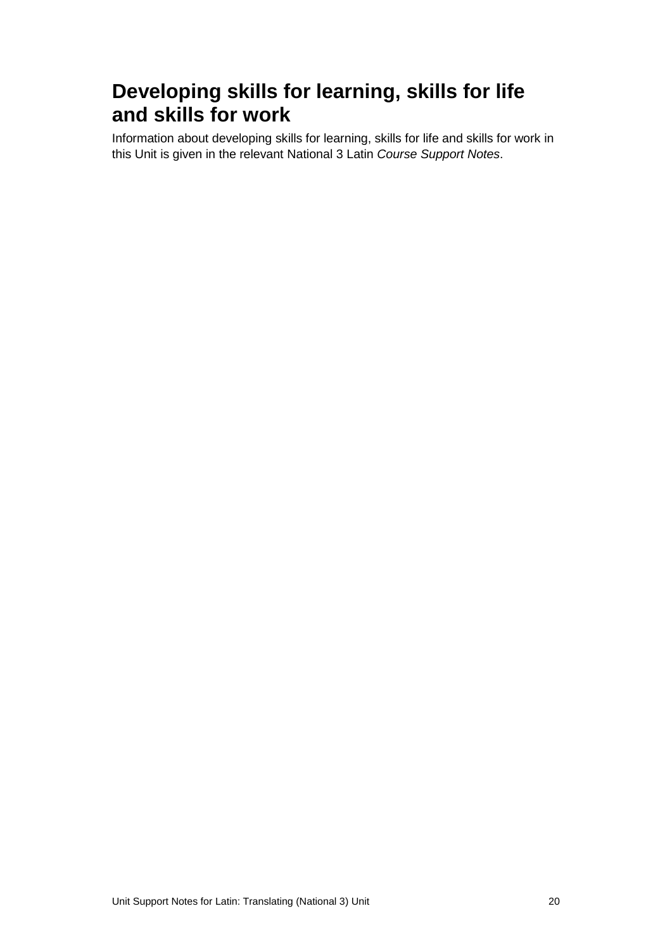### **Developing skills for learning, skills for life and skills for work**

Information about developing skills for learning, skills for life and skills for work in this Unit is given in the relevant National 3 Latin *Course Support Notes*.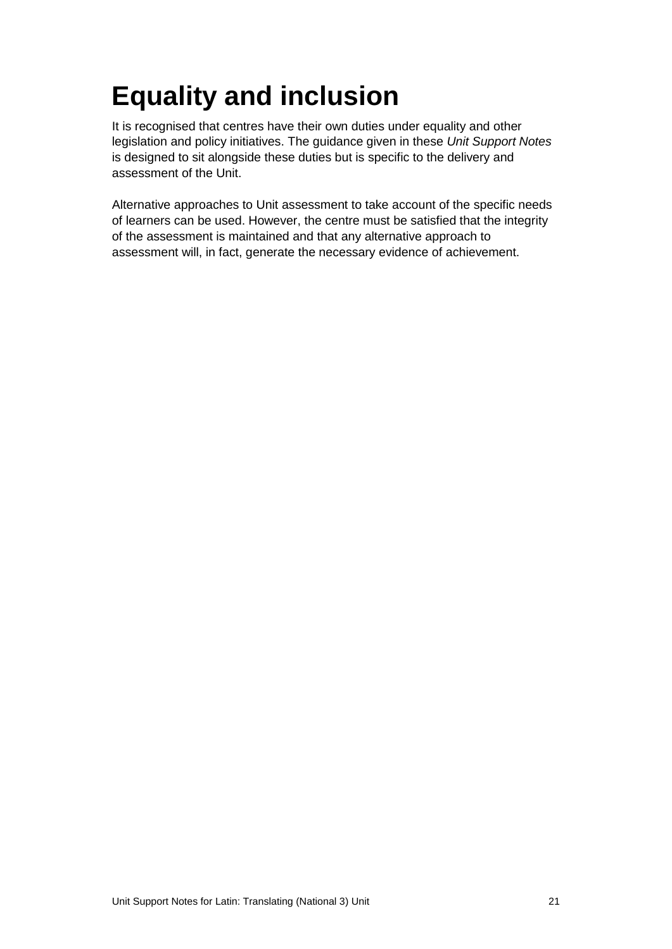# <span id="page-22-0"></span>**Equality and inclusion**

It is recognised that centres have their own duties under equality and other legislation and policy initiatives. The guidance given in these *Unit Support Notes* is designed to sit alongside these duties but is specific to the delivery and assessment of the Unit.

Alternative approaches to Unit assessment to take account of the specific needs of learners can be used. However, the centre must be satisfied that the integrity of the assessment is maintained and that any alternative approach to assessment will, in fact, generate the necessary evidence of achievement.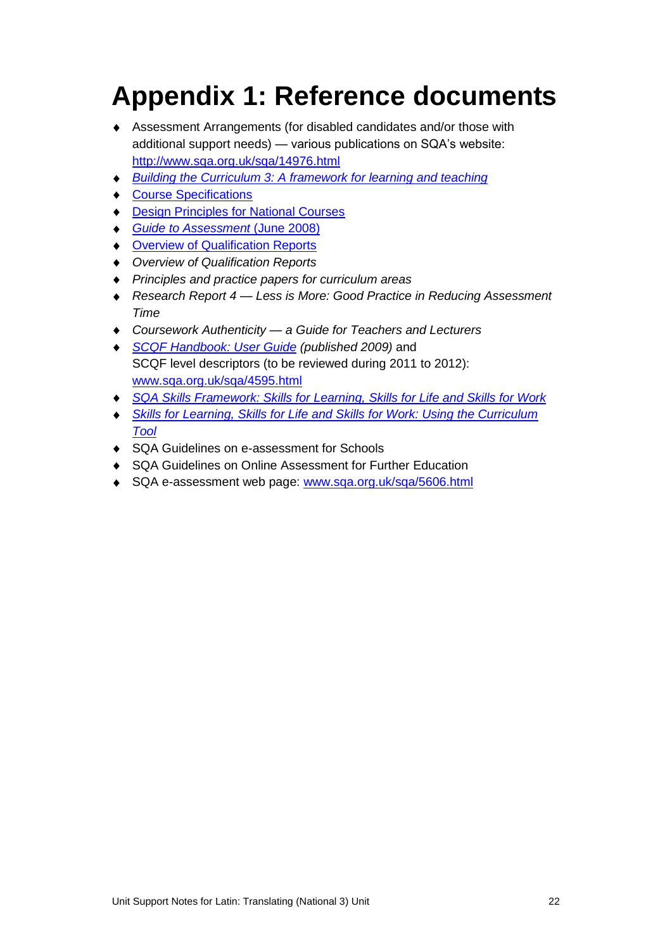# <span id="page-23-0"></span>**Appendix 1: Reference documents**

- Assessment Arrangements (for disabled candidates and/or those with additional support needs) — various publications on SQA's website: <http://www.sqa.org.uk/sqa/14976.html>
- *[Building the Curriculum 3: A framework for learning](http://www.ltscotland.org.uk/buildingyourcurriculum/policycontext/btc/btc5.asp) and teaching*
- [Course Specifications](http://www.sqa.org.uk/sqa/46327.2947.html)
- ◆ **[Design Principles for National Courses](http://www.sqa.org.uk/sqa/42135.2629.html)**
- *[Guide to Assessment](http://www.sqa.org.uk/files_ccc/GuideToAssessment.pdf)* (June 2008)
- ◆ [Overview of Qualification Reports](http://www.sqa.org.uk/sqa/42467.2792.html)
- *Overview of Qualification Reports*
- *Principles and practice papers for curriculum areas*
- *Research Report 4 — Less is More: Good Practice in Reducing Assessment Time*
- *Coursework Authenticity — a Guide for Teachers and Lecturers*
- *[SCQF Handbook: User Guide](http://www.scqf.org.uk/Resources) (published 2009)* and  $\bullet$ SCQF level descriptors (to be reviewed during 2011 to 2012): [www.sqa.org.uk/sqa/4595.html](http://www.sqa.org.uk/sqa/4595.html)
- *[SQA Skills Framework: Skills for Learning, Skills for Life and Skills for Work](http://www.sqa.org.uk/sqa/45395.html)*
- *[Skills for Learning, Skills for Life and Skills for Work: Using the Curriculum](http://www.sqa.org.uk/sqa/45395.html)  [Tool](http://www.sqa.org.uk/sqa/45395.html)*
- ◆ SQA Guidelines on e-assessment for Schools
- SQA Guidelines on Online Assessment for Further Education
- ◆ SQA e-assessment web page: [www.sqa.org.uk/sqa/5606.html](http://www.sqa.org.uk/sqa/5606.html)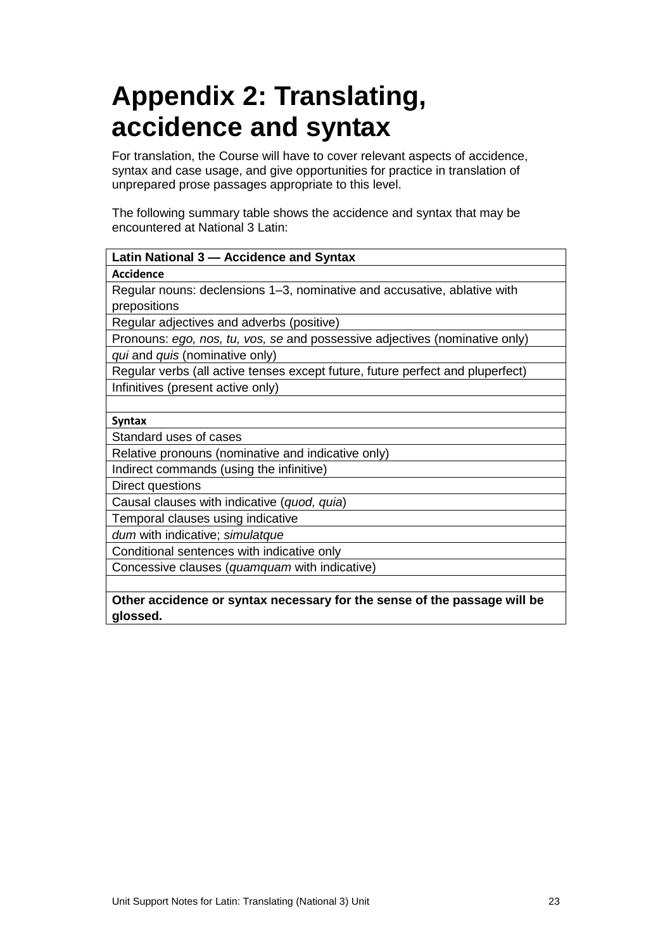## <span id="page-24-0"></span>**Appendix 2: Translating, accidence and syntax**

For translation, the Course will have to cover relevant aspects of accidence, syntax and case usage, and give opportunities for practice in translation of unprepared prose passages appropriate to this level.

The following summary table shows the accidence and syntax that may be encountered at National 3 Latin:

| Latin National 3 – Accidence and Syntax                                        |
|--------------------------------------------------------------------------------|
| <b>Accidence</b>                                                               |
| Regular nouns: declensions 1–3, nominative and accusative, ablative with       |
| prepositions                                                                   |
| Regular adjectives and adverbs (positive)                                      |
| Pronouns: ego, nos, tu, vos, se and possessive adjectives (nominative only)    |
| qui and quis (nominative only)                                                 |
| Regular verbs (all active tenses except future, future perfect and pluperfect) |
| Infinitives (present active only)                                              |
|                                                                                |
| <b>Syntax</b>                                                                  |
| Standard uses of cases                                                         |
| Relative pronouns (nominative and indicative only)                             |
| Indirect commands (using the infinitive)                                       |
| Direct questions                                                               |
| Causal clauses with indicative (quod, quia)                                    |
| Temporal clauses using indicative                                              |
| dum with indicative; simulatque                                                |
| Conditional sentences with indicative only                                     |
| Concessive clauses (quamquam with indicative)                                  |
|                                                                                |
| Other accidence or syntax necessary for the sense of the passage will be       |
| glossed.                                                                       |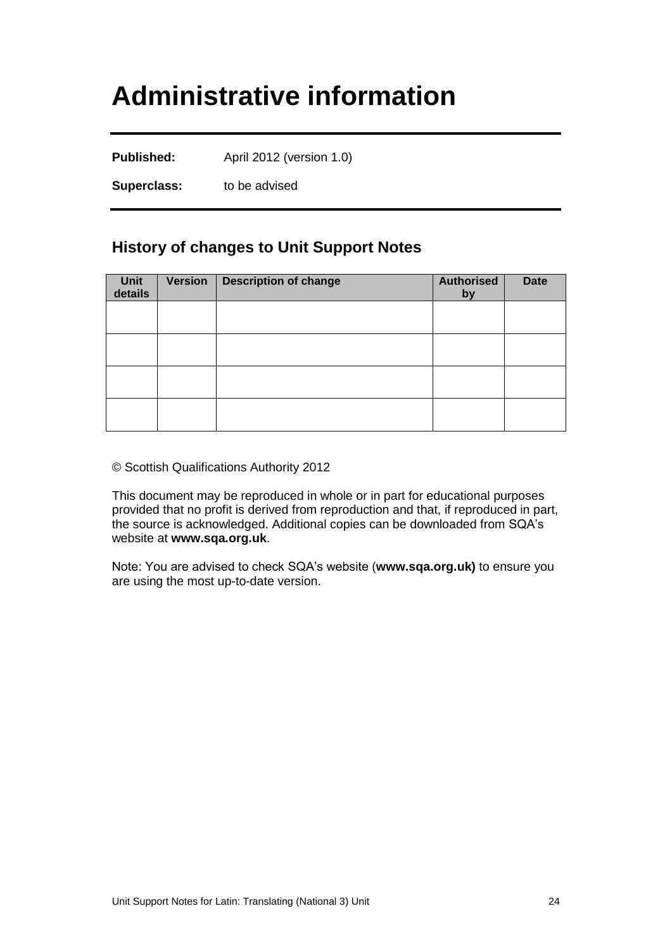## <span id="page-25-0"></span>**Administrative information**

**Published:** April 2012 (version 1.0)

**Superclass:** to be advised

#### **History of changes to Unit Support Notes**

| Unit<br>details | <b>Version</b> | <b>Description of change</b> | <b>Authorised</b><br>by | <b>Date</b> |
|-----------------|----------------|------------------------------|-------------------------|-------------|
|                 |                |                              |                         |             |
|                 |                |                              |                         |             |
|                 |                |                              |                         |             |
|                 |                |                              |                         |             |

© Scottish Qualifications Authority 2012

This document may be reproduced in whole or in part for educational purposes provided that no profit is derived from reproduction and that, if reproduced in part, the source is acknowledged. Additional copies can be downloaded from SQA's website at **[www.sqa.org.uk](http://www.sqa.org.uk/)**.

Note: You are advised to check SQA's website (**[www.sqa.org.uk\)](http://www.sqa.org.uk/)** to ensure you are using the most up-to-date version.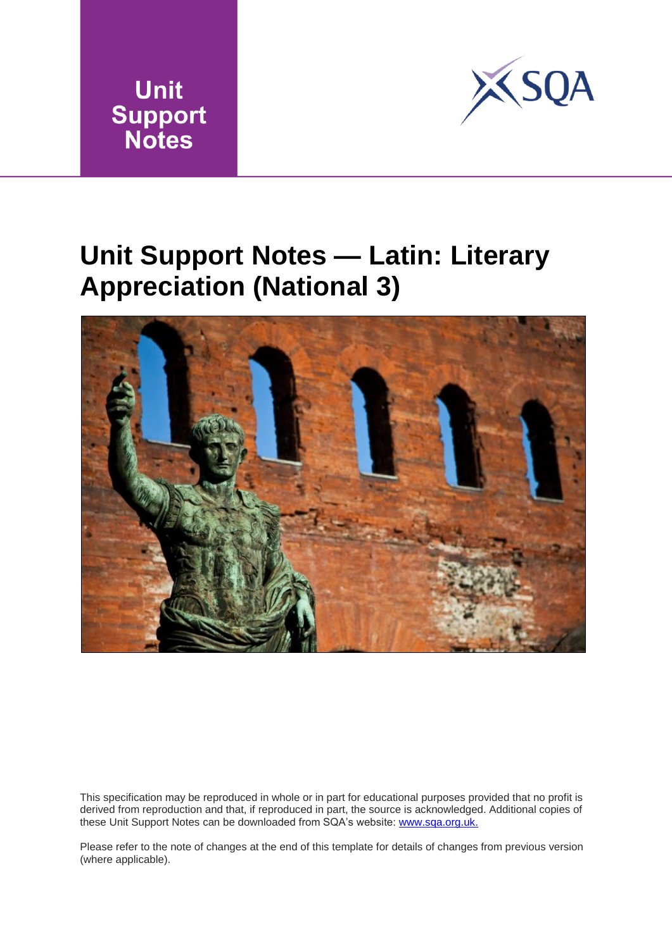



## <span id="page-26-0"></span>**Unit Support Notes — Latin: Literary Appreciation (National 3)**



This specification may be reproduced in whole or in part for educational purposes provided that no profit is derived from reproduction and that, if reproduced in part, the source is acknowledged. Additional copies of these Unit Support Notes can be downloaded from SQA's website: www.sqa.org.uk.

Please refer to the note of changes at the end of this template for details of changes from previous version (where applicable).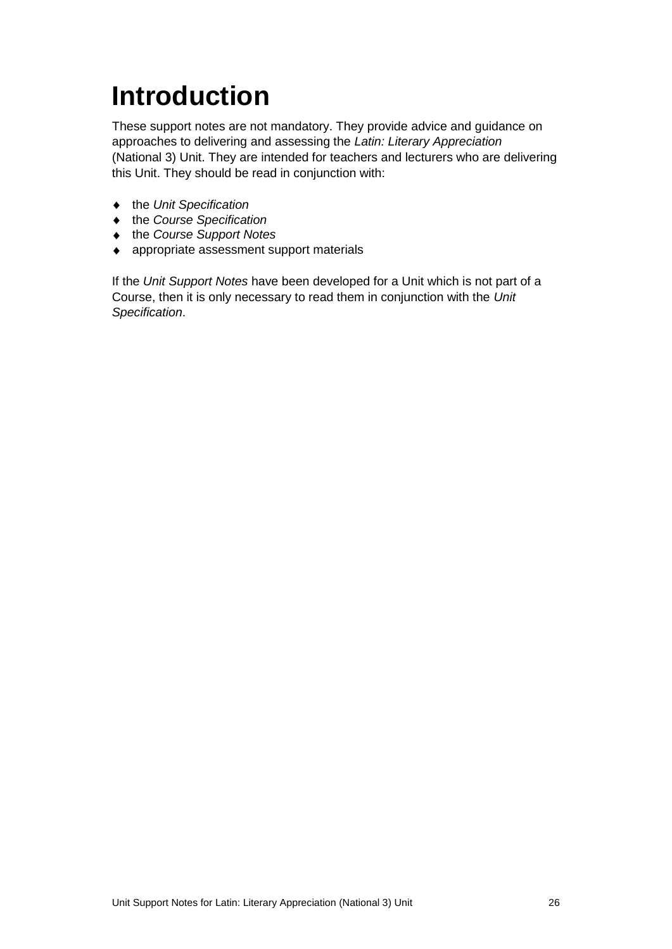# <span id="page-27-0"></span>**Introduction**

These support notes are not mandatory. They provide advice and guidance on approaches to delivering and assessing the *Latin: Literary Appreciation* (National 3) Unit. They are intended for teachers and lecturers who are delivering this Unit. They should be read in conjunction with:

- the *Unit Specification*
- the *Course Specification*
- ◆ the *Course Support Notes*
- appropriate assessment support materials

If the *Unit Support Notes* have been developed for a Unit which is not part of a Course, then it is only necessary to read them in conjunction with the *Unit Specification*.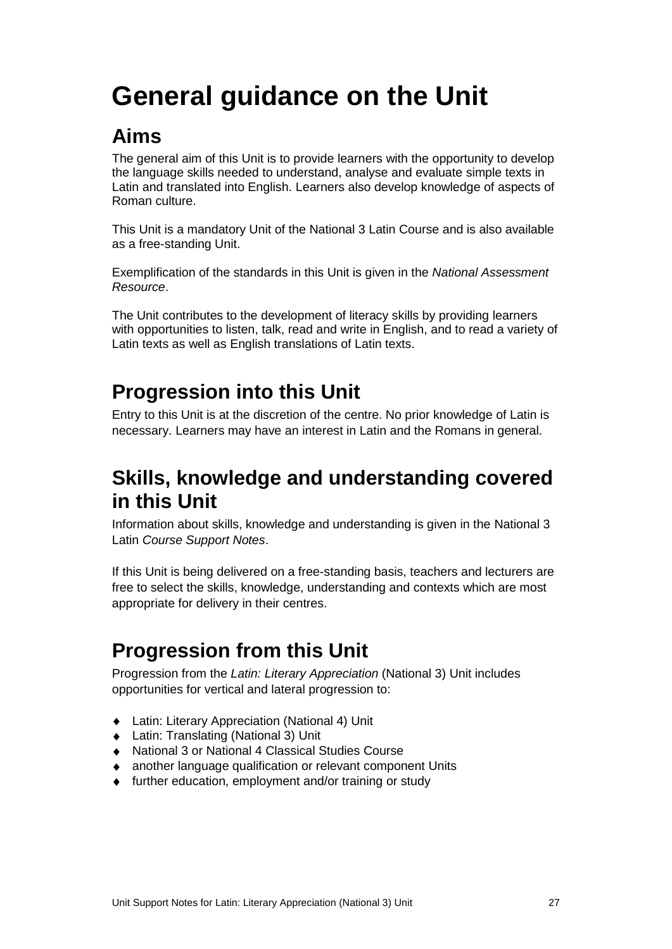# <span id="page-28-0"></span>**General guidance on the Unit**

### **Aims**

The general aim of this Unit is to provide learners with the opportunity to develop the language skills needed to understand, analyse and evaluate simple texts in Latin and translated into English. Learners also develop knowledge of aspects of Roman culture.

This Unit is a mandatory Unit of the National 3 Latin Course and is also available as a free-standing Unit.

Exemplification of the standards in this Unit is given in the *National Assessment Resource*.

The Unit contributes to the development of literacy skills by providing learners with opportunities to listen, talk, read and write in English, and to read a variety of Latin texts as well as English translations of Latin texts.

## **Progression into this Unit**

Entry to this Unit is at the discretion of the centre. No prior knowledge of Latin is necessary. Learners may have an interest in Latin and the Romans in general.

### **Skills, knowledge and understanding covered in this Unit**

Information about skills, knowledge and understanding is given in the National 3 Latin *Course Support Notes*.

If this Unit is being delivered on a free-standing basis, teachers and lecturers are free to select the skills, knowledge, understanding and contexts which are most appropriate for delivery in their centres.

## **Progression from this Unit**

Progression from the *Latin: Literary Appreciation* (National 3) Unit includes opportunities for vertical and lateral progression to:

- Latin: Literary Appreciation (National 4) Unit
- ◆ Latin: Translating (National 3) Unit
- National 3 or National 4 Classical Studies Course
- another language qualification or relevant component Units
- ◆ further education, employment and/or training or study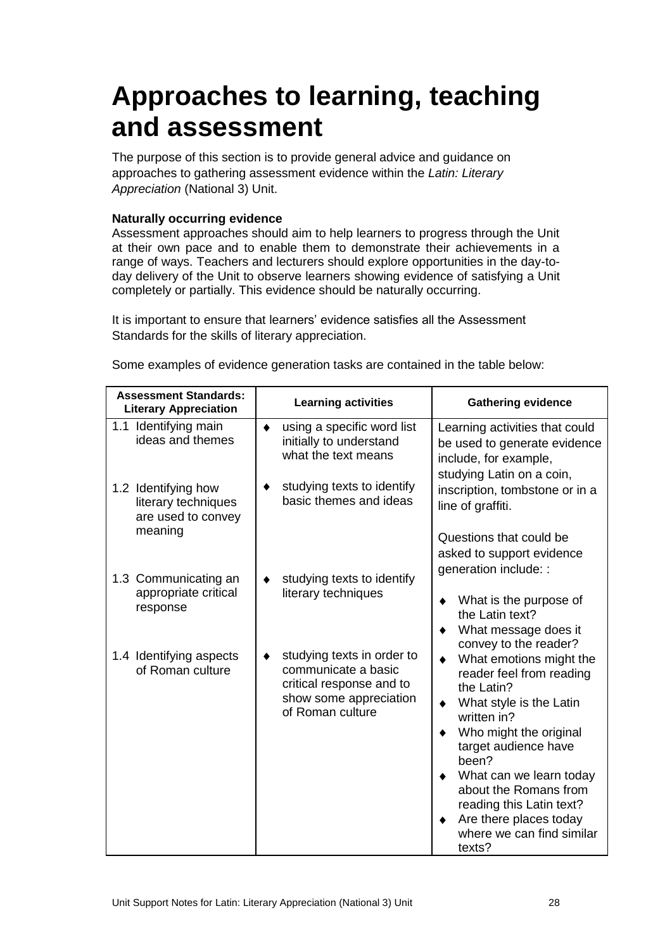## <span id="page-29-0"></span>**Approaches to learning, teaching and assessment**

The purpose of this section is to provide general advice and guidance on approaches to gathering assessment evidence within the *Latin: Literary Appreciation* (National 3) Unit.

#### **Naturally occurring evidence**

Assessment approaches should aim to help learners to progress through the Unit at their own pace and to enable them to demonstrate their achievements in a range of ways. Teachers and lecturers should explore opportunities in the day-today delivery of the Unit to observe learners showing evidence of satisfying a Unit completely or partially. This evidence should be naturally occurring.

It is important to ensure that learners' evidence satisfies all the Assessment Standards for the skills of literary appreciation.

Some examples of evidence generation tasks are contained in the table below:

| <b>Assessment Standards:</b><br><b>Literary Appreciation</b>                | <b>Learning activities</b>                                                                                                  | <b>Gathering evidence</b>                                                                                                                                                                                                                                                                                                                 |
|-----------------------------------------------------------------------------|-----------------------------------------------------------------------------------------------------------------------------|-------------------------------------------------------------------------------------------------------------------------------------------------------------------------------------------------------------------------------------------------------------------------------------------------------------------------------------------|
| Identifying main<br>1.1<br>ideas and themes                                 | using a specific word list<br>٠<br>initially to understand<br>what the text means                                           | Learning activities that could<br>be used to generate evidence<br>include, for example,<br>studying Latin on a coin,                                                                                                                                                                                                                      |
| 1.2 Identifying how<br>literary techniques<br>are used to convey<br>meaning | studying texts to identify<br>basic themes and ideas                                                                        | inscription, tombstone or in a<br>line of graffiti.                                                                                                                                                                                                                                                                                       |
|                                                                             |                                                                                                                             | Questions that could be<br>asked to support evidence<br>generation include: :                                                                                                                                                                                                                                                             |
| 1.3 Communicating an<br>appropriate critical<br>response                    | studying texts to identify<br>literary techniques                                                                           | What is the purpose of<br>٠<br>the Latin text?<br>What message does it<br>٠<br>convey to the reader?                                                                                                                                                                                                                                      |
| 1.4 Identifying aspects<br>of Roman culture                                 | studying texts in order to<br>communicate a basic<br>critical response and to<br>show some appreciation<br>of Roman culture | What emotions might the<br>$\bullet$<br>reader feel from reading<br>the Latin?<br>What style is the Latin<br>٠<br>written in?<br>Who might the original<br>target audience have<br>been?<br>What can we learn today<br>about the Romans from<br>reading this Latin text?<br>Are there places today<br>where we can find similar<br>texts? |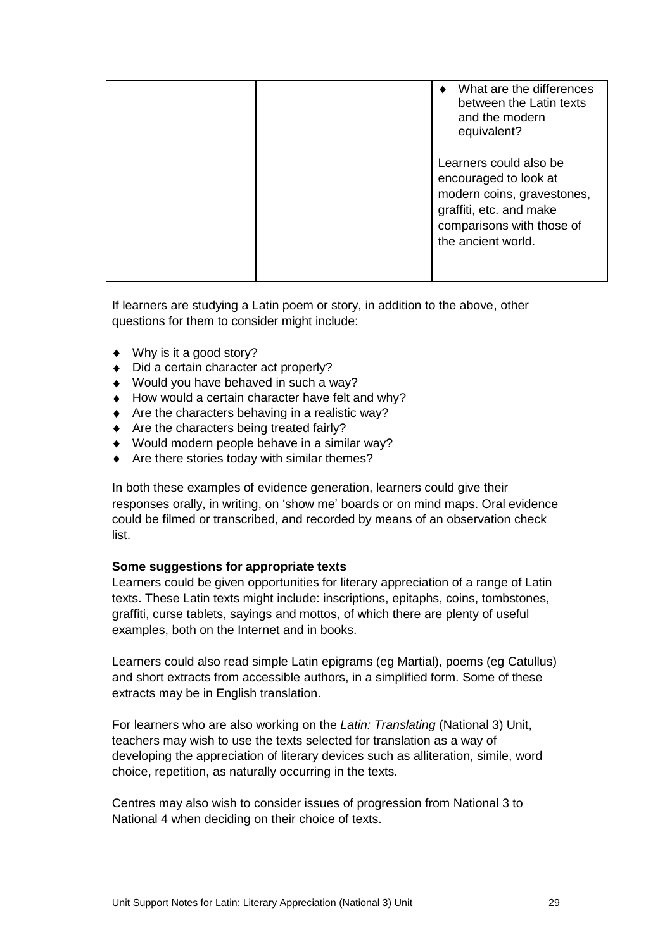|  | What are the differences<br>between the Latin texts<br>and the modern<br>equivalent?                                                                        |
|--|-------------------------------------------------------------------------------------------------------------------------------------------------------------|
|  | Learners could also be<br>encouraged to look at<br>modern coins, gravestones,<br>graffiti, etc. and make<br>comparisons with those of<br>the ancient world. |

If learners are studying a Latin poem or story, in addition to the above, other questions for them to consider might include:

- ◆ Why is it a good story?
- ◆ Did a certain character act properly?
- ◆ Would you have behaved in such a way?
- $\triangleleft$  How would a certain character have felt and why?
- $\triangleleft$  Are the characters behaving in a realistic way?
- ◆ Are the characters being treated fairly?
- Would modern people behave in a similar way?
- $\triangle$  Are there stories today with similar themes?

In both these examples of evidence generation, learners could give their responses orally, in writing, on 'show me' boards or on mind maps. Oral evidence could be filmed or transcribed, and recorded by means of an observation check list.

#### **Some suggestions for appropriate texts**

Learners could be given opportunities for literary appreciation of a range of Latin texts. These Latin texts might include: inscriptions, epitaphs, coins, tombstones, graffiti, curse tablets, sayings and mottos, of which there are plenty of useful examples, both on the Internet and in books.

Learners could also read simple Latin epigrams (eg Martial), poems (eg Catullus) and short extracts from accessible authors, in a simplified form. Some of these extracts may be in English translation.

For learners who are also working on the *Latin: Translating* (National 3) Unit, teachers may wish to use the texts selected for translation as a way of developing the appreciation of literary devices such as alliteration, simile, word choice, repetition, as naturally occurring in the texts.

Centres may also wish to consider issues of progression from National 3 to National 4 when deciding on their choice of texts.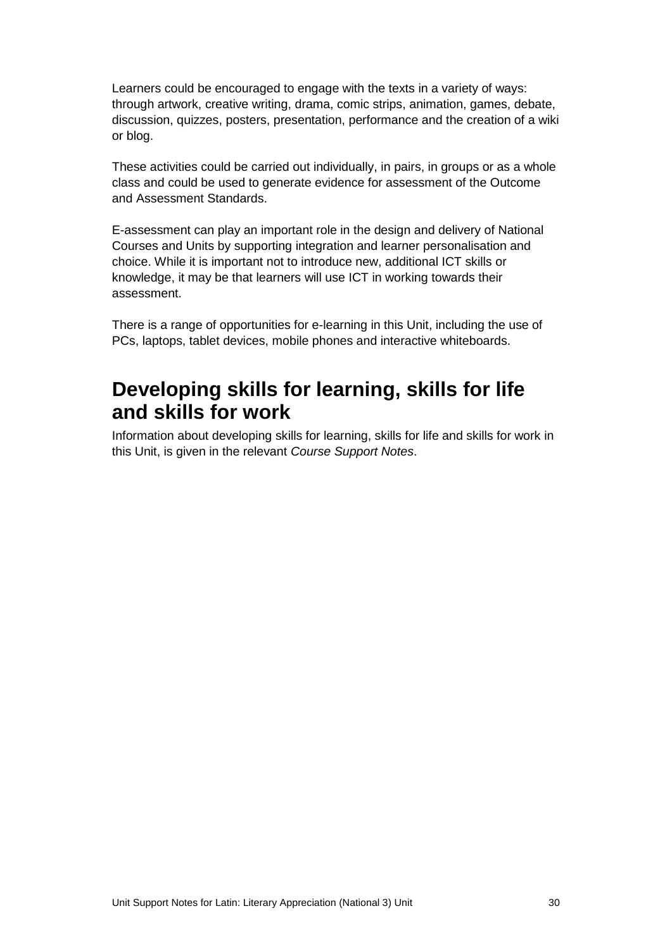Learners could be encouraged to engage with the texts in a variety of ways: through artwork, creative writing, drama, comic strips, animation, games, debate, discussion, quizzes, posters, presentation, performance and the creation of a wiki or blog.

These activities could be carried out individually, in pairs, in groups or as a whole class and could be used to generate evidence for assessment of the Outcome and Assessment Standards.

E-assessment can play an important role in the design and delivery of National Courses and Units by supporting integration and learner personalisation and choice. While it is important not to introduce new, additional ICT skills or knowledge, it may be that learners will use ICT in working towards their assessment.

There is a range of opportunities for e-learning in this Unit, including the use of PCs, laptops, tablet devices, mobile phones and interactive whiteboards.

### **Developing skills for learning, skills for life and skills for work**

Information about developing skills for learning, skills for life and skills for work in this Unit, is given in the relevant *Course Support Notes*.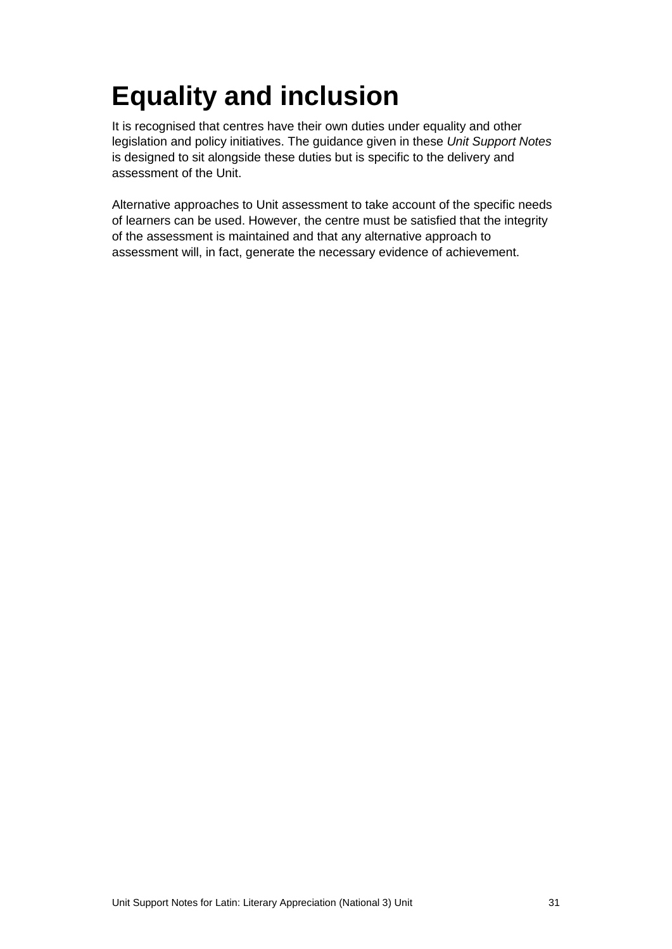# <span id="page-32-0"></span>**Equality and inclusion**

It is recognised that centres have their own duties under equality and other legislation and policy initiatives. The guidance given in these *Unit Support Notes* is designed to sit alongside these duties but is specific to the delivery and assessment of the Unit.

Alternative approaches to Unit assessment to take account of the specific needs of learners can be used. However, the centre must be satisfied that the integrity of the assessment is maintained and that any alternative approach to assessment will, in fact, generate the necessary evidence of achievement.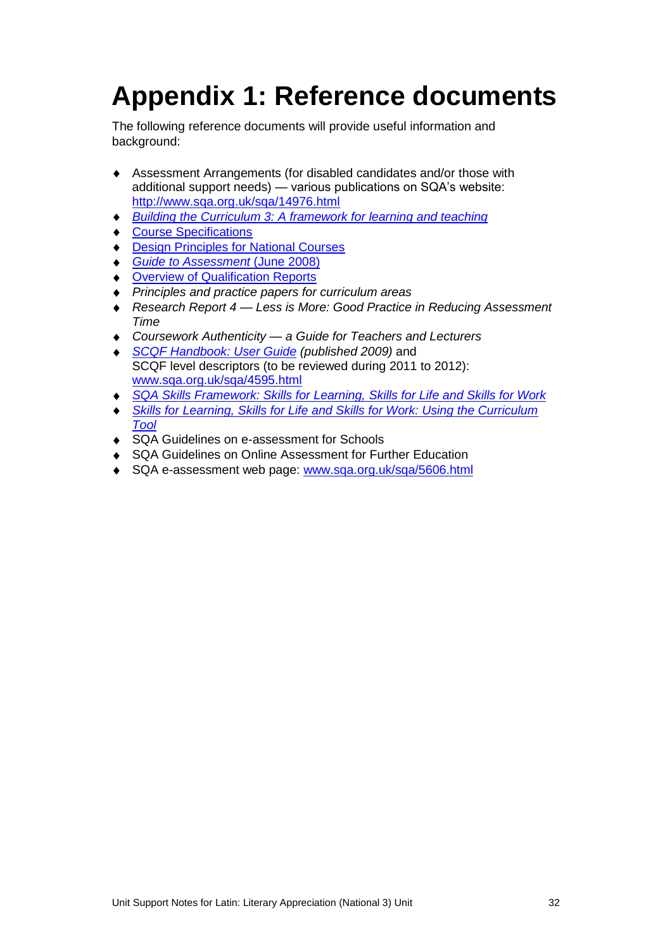# <span id="page-33-0"></span>**Appendix 1: Reference documents**

The following reference documents will provide useful information and background:

- Assessment Arrangements (for disabled candidates and/or those with  $\bullet$ additional support needs) — various publications on SQA's website: <http://www.sqa.org.uk/sqa/14976.html>
- *[Building the Curriculum 3: A framework for learning and teaching](http://www.ltscotland.org.uk/buildingyourcurriculum/policycontext/btc/btc5.asp)*
- [Course Specifications](http://www.sqa.org.uk/sqa/46327.2947.html)
- ◆ **[Design Principles for National Courses](http://www.sqa.org.uk/sqa/42135.2629.html)**
- *[Guide to Assessment](http://www.sqa.org.uk/files_ccc/GuideToAssessment.pdf)* (June 2008)
- **[Overview of Qualification Reports](http://www.sqa.org.uk/sqa/42467.2792.html)**
- *Principles and practice papers for curriculum areas*
- $\blacklozenge$ *Research Report 4 — Less is More: Good Practice in Reducing Assessment Time*
- *Coursework Authenticity — a Guide for Teachers and Lecturers*
- *[SCQF Handbook: User Guide](http://www.scqf.org.uk/Resources) (published 2009)* and SCQF level descriptors (to be reviewed during 2011 to 2012): [www.sqa.org.uk/sqa/4595.html](http://www.sqa.org.uk/sqa/4595.html)
- *[SQA Skills Framework: Skills for Learning, Skills for Life and Skills for Work](http://www.sqa.org.uk/sqa/45395.html)*  $\bullet$
- **Skills for Learning, Skills for Life and Skills for Work: Using the Curriculum**  $\bullet$ *[Tool](http://www.sqa.org.uk/sqa/45395.html)*
- ◆ SQA Guidelines on e-assessment for Schools
- ◆ SQA Guidelines on Online Assessment for Further Education
- ◆ SQA e-assessment web page: [www.sqa.org.uk/sqa/5606.html](http://www.sqa.org.uk/sqa/5606.html)